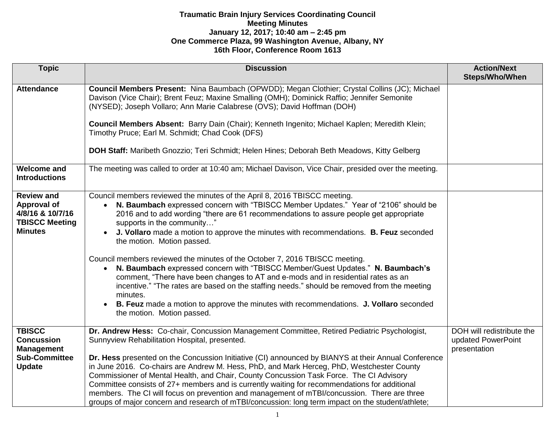| <b>Topic</b>                                                                                     | <b>Discussion</b>                                                                                                                                                                                                                                                                                                                                                                                                                                                                                                                                                                                                                                                                                                                                                                                                                                                                                                        | <b>Action/Next</b><br>Steps/Who/When                            |
|--------------------------------------------------------------------------------------------------|--------------------------------------------------------------------------------------------------------------------------------------------------------------------------------------------------------------------------------------------------------------------------------------------------------------------------------------------------------------------------------------------------------------------------------------------------------------------------------------------------------------------------------------------------------------------------------------------------------------------------------------------------------------------------------------------------------------------------------------------------------------------------------------------------------------------------------------------------------------------------------------------------------------------------|-----------------------------------------------------------------|
| <b>Attendance</b>                                                                                | Council Members Present: Nina Baumbach (OPWDD); Megan Clothier; Crystal Collins (JC); Michael<br>Davison (Vice Chair); Brent Feuz; Maxine Smalling (OMH); Dominick Raffio; Jennifer Semonite<br>(NYSED); Joseph Vollaro; Ann Marie Calabrese (OVS); David Hoffman (DOH)<br>Council Members Absent: Barry Dain (Chair); Kenneth Ingenito; Michael Kaplen; Meredith Klein;<br>Timothy Pruce; Earl M. Schmidt; Chad Cook (DFS)<br>DOH Staff: Maribeth Gnozzio; Teri Schmidt; Helen Hines; Deborah Beth Meadows, Kitty Gelberg                                                                                                                                                                                                                                                                                                                                                                                               |                                                                 |
| <b>Welcome and</b><br><b>Introductions</b>                                                       | The meeting was called to order at 10:40 am; Michael Davison, Vice Chair, presided over the meeting.                                                                                                                                                                                                                                                                                                                                                                                                                                                                                                                                                                                                                                                                                                                                                                                                                     |                                                                 |
| <b>Review and</b><br>Approval of<br>4/8/16 & 10/7/16<br><b>TBISCC Meeting</b><br><b>Minutes</b>  | Council members reviewed the minutes of the April 8, 2016 TBISCC meeting.<br>N. Baumbach expressed concern with "TBISCC Member Updates." Year of "2106" should be<br>$\bullet$<br>2016 and to add wording "there are 61 recommendations to assure people get appropriate<br>supports in the community"<br>J. Vollaro made a motion to approve the minutes with recommendations. B. Feuz seconded<br>the motion. Motion passed.<br>Council members reviewed the minutes of the October 7, 2016 TBISCC meeting.<br>N. Baumbach expressed concern with "TBISCC Member/Guest Updates." N. Baumbach's<br>comment, "There have been changes to AT and e-mods and in residential rates as an<br>incentive." "The rates are based on the staffing needs." should be removed from the meeting<br>minutes.<br>B. Feuz made a motion to approve the minutes with recommendations. J. Vollaro seconded<br>the motion. Motion passed. |                                                                 |
| <b>TBISCC</b><br><b>Concussion</b><br><b>Management</b><br><b>Sub-Committee</b><br><b>Update</b> | Dr. Andrew Hess: Co-chair, Concussion Management Committee, Retired Pediatric Psychologist,<br>Sunnyview Rehabilitation Hospital, presented.<br>Dr. Hess presented on the Concussion Initiative (CI) announced by BIANYS at their Annual Conference<br>in June 2016. Co-chairs are Andrew M. Hess, PhD, and Mark Herceg, PhD, Westchester County<br>Commissioner of Mental Health, and Chair, County Concussion Task Force. The CI Advisory<br>Committee consists of 27+ members and is currently waiting for recommendations for additional<br>members. The CI will focus on prevention and management of mTBI/concussion. There are three<br>groups of major concern and research of mTBI/concussion: long term impact on the student/athlete;                                                                                                                                                                         | DOH will redistribute the<br>updated PowerPoint<br>presentation |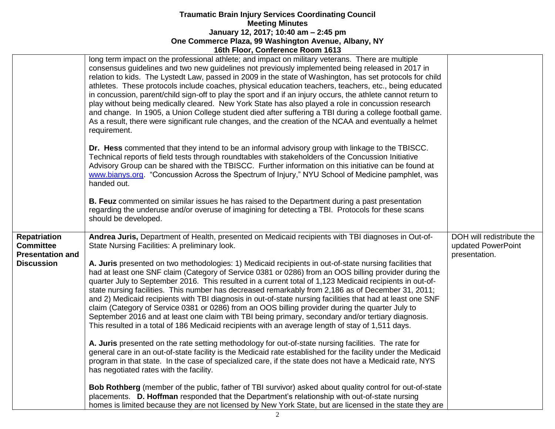|                                                                                         | <b>TOUT TIOUT, COMPLETICE NOONT TOTS</b>                                                                                                                                                                                                                                                                                                                                                                                                                                                                                                                                                                                                                                                                                                                                                                                                                                                                                                                                                                                                                                                                                                                                                                                                                                                                                                                                                              |                                                                  |
|-----------------------------------------------------------------------------------------|-------------------------------------------------------------------------------------------------------------------------------------------------------------------------------------------------------------------------------------------------------------------------------------------------------------------------------------------------------------------------------------------------------------------------------------------------------------------------------------------------------------------------------------------------------------------------------------------------------------------------------------------------------------------------------------------------------------------------------------------------------------------------------------------------------------------------------------------------------------------------------------------------------------------------------------------------------------------------------------------------------------------------------------------------------------------------------------------------------------------------------------------------------------------------------------------------------------------------------------------------------------------------------------------------------------------------------------------------------------------------------------------------------|------------------------------------------------------------------|
|                                                                                         | long term impact on the professional athlete; and impact on military veterans. There are multiple<br>consensus guidelines and two new guidelines not previously implemented being released in 2017 in<br>relation to kids. The Lystedt Law, passed in 2009 in the state of Washington, has set protocols for child<br>athletes. These protocols include coaches, physical education teachers, teachers, etc., being educated<br>in concussion, parent/child sign-off to play the sport and if an injury occurs, the athlete cannot return to<br>play without being medically cleared. New York State has also played a role in concussion research<br>and change. In 1905, a Union College student died after suffering a TBI during a college football game.<br>As a result, there were significant rule changes, and the creation of the NCAA and eventually a helmet<br>requirement.                                                                                                                                                                                                                                                                                                                                                                                                                                                                                                               |                                                                  |
|                                                                                         | Dr. Hess commented that they intend to be an informal advisory group with linkage to the TBISCC.<br>Technical reports of field tests through roundtables with stakeholders of the Concussion Initiative<br>Advisory Group can be shared with the TBISCC. Further information on this initiative can be found at<br>www.bianys.org "Concussion Across the Spectrum of Injury," NYU School of Medicine pamphlet, was<br>handed out.                                                                                                                                                                                                                                                                                                                                                                                                                                                                                                                                                                                                                                                                                                                                                                                                                                                                                                                                                                     |                                                                  |
|                                                                                         | B. Feuz commented on similar issues he has raised to the Department during a past presentation<br>regarding the underuse and/or overuse of imagining for detecting a TBI. Protocols for these scans<br>should be developed.                                                                                                                                                                                                                                                                                                                                                                                                                                                                                                                                                                                                                                                                                                                                                                                                                                                                                                                                                                                                                                                                                                                                                                           |                                                                  |
| <b>Repatriation</b><br><b>Committee</b><br><b>Presentation and</b><br><b>Discussion</b> | Andrea Juris, Department of Health, presented on Medicaid recipients with TBI diagnoses in Out-of-<br>State Nursing Facilities: A preliminary look.<br>A. Juris presented on two methodologies: 1) Medicaid recipients in out-of-state nursing facilities that<br>had at least one SNF claim (Category of Service 0381 or 0286) from an OOS billing provider during the<br>quarter July to September 2016. This resulted in a current total of 1,123 Medicaid recipients in out-of-<br>state nursing facilities. This number has decreased remarkably from 2,186 as of December 31, 2011;<br>and 2) Medicaid recipients with TBI diagnosis in out-of-state nursing facilities that had at least one SNF<br>claim (Category of Service 0381 or 0286) from an OOS billing provider during the quarter July to<br>September 2016 and at least one claim with TBI being primary, secondary and/or tertiary diagnosis.<br>This resulted in a total of 186 Medicaid recipients with an average length of stay of 1,511 days.<br>A. Juris presented on the rate setting methodology for out-of-state nursing facilities. The rate for<br>general care in an out-of-state facility is the Medicaid rate established for the facility under the Medicaid<br>program in that state. In the case of specialized care, if the state does not have a Medicaid rate, NYS<br>has negotiated rates with the facility. | DOH will redistribute the<br>updated PowerPoint<br>presentation. |
|                                                                                         | Bob Rothberg (member of the public, father of TBI survivor) asked about quality control for out-of-state<br>placements. D. Hoffman responded that the Department's relationship with out-of-state nursing<br>homes is limited because they are not licensed by New York State, but are licensed in the state they are                                                                                                                                                                                                                                                                                                                                                                                                                                                                                                                                                                                                                                                                                                                                                                                                                                                                                                                                                                                                                                                                                 |                                                                  |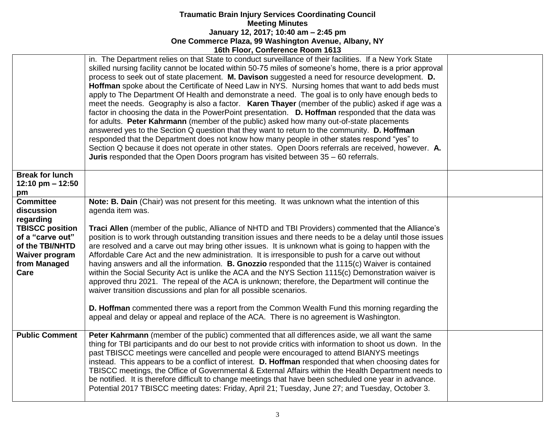|                                                                                                                                                               | in. The Department relies on that State to conduct surveillance of their facilities. If a New York State<br>skilled nursing facility cannot be located within 50-75 miles of someone's home, there is a prior approval<br>process to seek out of state placement. M. Davison suggested a need for resource development. D.<br>Hoffman spoke about the Certificate of Need Law in NYS. Nursing homes that want to add beds must<br>apply to The Department Of Health and demonstrate a need. The goal is to only have enough beds to<br>meet the needs. Geography is also a factor. <b>Karen Thayer</b> (member of the public) asked if age was a<br>factor in choosing the data in the PowerPoint presentation. D. Hoffman responded that the data was<br>for adults. Peter Kahrmann (member of the public) asked how many out-of-state placements<br>answered yes to the Section Q question that they want to return to the community. D. Hoffman<br>responded that the Department does not know how many people in other states respond "yes" to<br>Section Q because it does not operate in other states. Open Doors referrals are received, however. A.<br><b>Juris</b> responded that the Open Doors program has visited between $35 - 60$ referrals. |  |
|---------------------------------------------------------------------------------------------------------------------------------------------------------------|------------------------------------------------------------------------------------------------------------------------------------------------------------------------------------------------------------------------------------------------------------------------------------------------------------------------------------------------------------------------------------------------------------------------------------------------------------------------------------------------------------------------------------------------------------------------------------------------------------------------------------------------------------------------------------------------------------------------------------------------------------------------------------------------------------------------------------------------------------------------------------------------------------------------------------------------------------------------------------------------------------------------------------------------------------------------------------------------------------------------------------------------------------------------------------------------------------------------------------------------------------|--|
| <b>Break for lunch</b><br>12:10 pm $- 12:50$<br>pm                                                                                                            |                                                                                                                                                                                                                                                                                                                                                                                                                                                                                                                                                                                                                                                                                                                                                                                                                                                                                                                                                                                                                                                                                                                                                                                                                                                            |  |
| <b>Committee</b><br>discussion<br>regarding<br><b>TBISCC position</b><br>of a "carve out"<br>of the TBI/NHTD<br><b>Waiver program</b><br>from Managed<br>Care | Note: B. Dain (Chair) was not present for this meeting. It was unknown what the intention of this<br>agenda item was.<br>Traci Allen (member of the public, Alliance of NHTD and TBI Providers) commented that the Alliance's<br>position is to work through outstanding transition issues and there needs to be a delay until those issues<br>are resolved and a carve out may bring other issues. It is unknown what is going to happen with the<br>Affordable Care Act and the new administration. It is irresponsible to push for a carve out without<br>having answers and all the information. B. Gnozzio responded that the 1115(c) Waiver is contained<br>within the Social Security Act is unlike the ACA and the NYS Section 1115(c) Demonstration waiver is<br>approved thru 2021. The repeal of the ACA is unknown; therefore, the Department will continue the<br>waiver transition discussions and plan for all possible scenarios.<br>D. Hoffman commented there was a report from the Common Wealth Fund this morning regarding the<br>appeal and delay or appeal and replace of the ACA. There is no agreement is Washington.                                                                                                             |  |
| <b>Public Comment</b>                                                                                                                                         | Peter Kahrmann (member of the public) commented that all differences aside, we all want the same<br>thing for TBI participants and do our best to not provide critics with information to shoot us down. In the<br>past TBISCC meetings were cancelled and people were encouraged to attend BIANYS meetings<br>instead. This appears to be a conflict of interest. D. Hoffman responded that when choosing dates for<br>TBISCC meetings, the Office of Governmental & External Affairs within the Health Department needs to<br>be notified. It is therefore difficult to change meetings that have been scheduled one year in advance.<br>Potential 2017 TBISCC meeting dates: Friday, April 21; Tuesday, June 27; and Tuesday, October 3.                                                                                                                                                                                                                                                                                                                                                                                                                                                                                                                |  |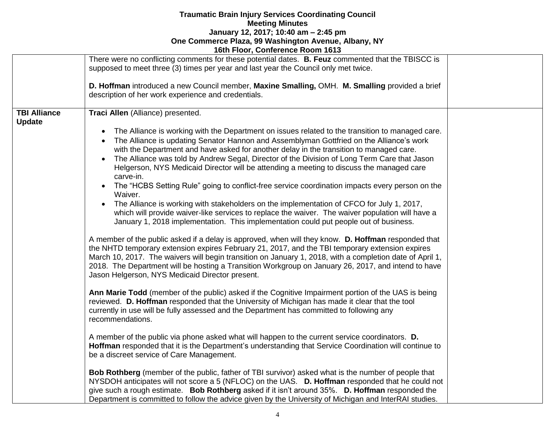|                                      | 16th Floor, Conference Room 1613                                                                                                                                                                                                                                                                                                                                                                                                                                                                                                                                                                                                                                                                                                                                                                                                                                                                                                                                                                                                                                                                                                                                                                                                                                                                                                                                                                                                                                                                                                                                                                                                                                                                                                                                                                                                                                                                                                                                                                                                                                                                                                                                                                                                                                                                                                                                                                                                                       |  |
|--------------------------------------|--------------------------------------------------------------------------------------------------------------------------------------------------------------------------------------------------------------------------------------------------------------------------------------------------------------------------------------------------------------------------------------------------------------------------------------------------------------------------------------------------------------------------------------------------------------------------------------------------------------------------------------------------------------------------------------------------------------------------------------------------------------------------------------------------------------------------------------------------------------------------------------------------------------------------------------------------------------------------------------------------------------------------------------------------------------------------------------------------------------------------------------------------------------------------------------------------------------------------------------------------------------------------------------------------------------------------------------------------------------------------------------------------------------------------------------------------------------------------------------------------------------------------------------------------------------------------------------------------------------------------------------------------------------------------------------------------------------------------------------------------------------------------------------------------------------------------------------------------------------------------------------------------------------------------------------------------------------------------------------------------------------------------------------------------------------------------------------------------------------------------------------------------------------------------------------------------------------------------------------------------------------------------------------------------------------------------------------------------------------------------------------------------------------------------------------------------------|--|
|                                      | There were no conflicting comments for these potential dates. B. Feuz commented that the TBISCC is<br>supposed to meet three (3) times per year and last year the Council only met twice.                                                                                                                                                                                                                                                                                                                                                                                                                                                                                                                                                                                                                                                                                                                                                                                                                                                                                                                                                                                                                                                                                                                                                                                                                                                                                                                                                                                                                                                                                                                                                                                                                                                                                                                                                                                                                                                                                                                                                                                                                                                                                                                                                                                                                                                              |  |
|                                      | D. Hoffman introduced a new Council member, Maxine Smalling, OMH. M. Smalling provided a brief<br>description of her work experience and credentials.                                                                                                                                                                                                                                                                                                                                                                                                                                                                                                                                                                                                                                                                                                                                                                                                                                                                                                                                                                                                                                                                                                                                                                                                                                                                                                                                                                                                                                                                                                                                                                                                                                                                                                                                                                                                                                                                                                                                                                                                                                                                                                                                                                                                                                                                                                  |  |
| <b>TBI Alliance</b><br><b>Update</b> | Traci Allen (Alliance) presented.<br>The Alliance is working with the Department on issues related to the transition to managed care.<br>The Alliance is updating Senator Hannon and Assemblyman Gottfried on the Alliance's work<br>with the Department and have asked for another delay in the transition to managed care.<br>The Alliance was told by Andrew Segal, Director of the Division of Long Term Care that Jason<br>$\bullet$<br>Helgerson, NYS Medicaid Director will be attending a meeting to discuss the managed care<br>carve-in.<br>The "HCBS Setting Rule" going to conflict-free service coordination impacts every person on the<br>Waiver.<br>The Alliance is working with stakeholders on the implementation of CFCO for July 1, 2017,<br>which will provide waiver-like services to replace the waiver. The waiver population will have a<br>January 1, 2018 implementation. This implementation could put people out of business.<br>A member of the public asked if a delay is approved, when will they know. D. Hoffman responded that<br>the NHTD temporary extension expires February 21, 2017, and the TBI temporary extension expires<br>March 10, 2017. The waivers will begin transition on January 1, 2018, with a completion date of April 1,<br>2018. The Department will be hosting a Transition Workgroup on January 26, 2017, and intend to have<br>Jason Helgerson, NYS Medicaid Director present.<br>Ann Marie Todd (member of the public) asked if the Cognitive Impairment portion of the UAS is being<br>reviewed. D. Hoffman responded that the University of Michigan has made it clear that the tool<br>currently in use will be fully assessed and the Department has committed to following any<br>recommendations.<br>A member of the public via phone asked what will happen to the current service coordinators. D.<br>Hoffman responded that it is the Department's understanding that Service Coordination will continue to<br>be a discreet service of Care Management.<br>Bob Rothberg (member of the public, father of TBI survivor) asked what is the number of people that<br>NYSDOH anticipates will not score a 5 (NFLOC) on the UAS. D. Hoffman responded that he could not<br>give such a rough estimate. Bob Rothberg asked if it isn't around 35%. D. Hoffman responded the<br>Department is committed to follow the advice given by the University of Michigan and InterRAI studies. |  |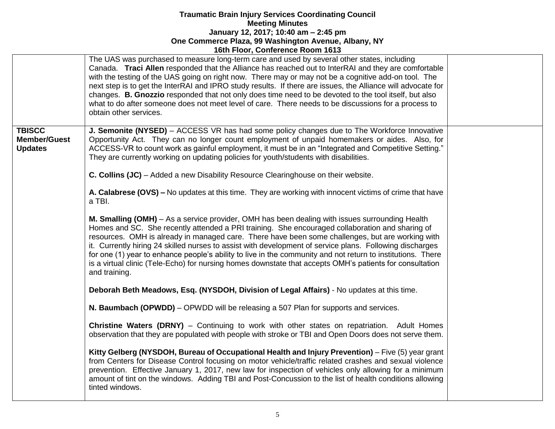|                                                        | <b>TULL LOOP, OUTHERNING ROOM TUTS</b>                                                                                                                                                                                                                                                                                                                                                                                                                                                                                                                                                                                                                                                                                                                                                                                                                                                                                                                                                                                                                                                                                                                                                                                                                   |  |
|--------------------------------------------------------|----------------------------------------------------------------------------------------------------------------------------------------------------------------------------------------------------------------------------------------------------------------------------------------------------------------------------------------------------------------------------------------------------------------------------------------------------------------------------------------------------------------------------------------------------------------------------------------------------------------------------------------------------------------------------------------------------------------------------------------------------------------------------------------------------------------------------------------------------------------------------------------------------------------------------------------------------------------------------------------------------------------------------------------------------------------------------------------------------------------------------------------------------------------------------------------------------------------------------------------------------------|--|
|                                                        | The UAS was purchased to measure long-term care and used by several other states, including<br>Canada. Traci Allen responded that the Alliance has reached out to InterRAI and they are comfortable<br>with the testing of the UAS going on right now. There may or may not be a cognitive add-on tool. The<br>next step is to get the InterRAI and IPRO study results. If there are issues, the Alliance will advocate for<br>changes. B. Gnozzio responded that not only does time need to be devoted to the tool itself, but also<br>what to do after someone does not meet level of care. There needs to be discussions for a process to<br>obtain other services.                                                                                                                                                                                                                                                                                                                                                                                                                                                                                                                                                                                   |  |
| <b>TBISCC</b><br><b>Member/Guest</b><br><b>Updates</b> | J. Semonite (NYSED) - ACCESS VR has had some policy changes due to The Workforce Innovative<br>Opportunity Act. They can no longer count employment of unpaid homemakers or aides. Also, for<br>ACCESS-VR to count work as gainful employment, it must be in an "Integrated and Competitive Setting."<br>They are currently working on updating policies for youth/students with disabilities.<br>C. Collins (JC) – Added a new Disability Resource Clearinghouse on their website.<br>A. Calabrese (OVS) – No updates at this time. They are working with innocent victims of crime that have<br>a TBI.<br>M. Smalling (OMH) – As a service provider, OMH has been dealing with issues surrounding Health<br>Homes and SC. She recently attended a PRI training. She encouraged collaboration and sharing of<br>resources. OMH is already in managed care. There have been some challenges, but are working with<br>it. Currently hiring 24 skilled nurses to assist with development of service plans. Following discharges<br>for one (1) year to enhance people's ability to live in the community and not return to institutions. There<br>is a virtual clinic (Tele-Echo) for nursing homes downstate that accepts OMH's patients for consultation |  |
|                                                        | and training.<br>Deborah Beth Meadows, Esq. (NYSDOH, Division of Legal Affairs) - No updates at this time.<br>N. Baumbach (OPWDD) – OPWDD will be releasing a 507 Plan for supports and services.<br><b>Christine Waters (DRNY)</b> – Continuing to work with other states on repatriation. Adult Homes<br>observation that they are populated with people with stroke or TBI and Open Doors does not serve them.<br>Kitty Gelberg (NYSDOH, Bureau of Occupational Health and Injury Prevention) – Five (5) year grant<br>from Centers for Disease Control focusing on motor vehicle/traffic related crashes and sexual violence<br>prevention. Effective January 1, 2017, new law for inspection of vehicles only allowing for a minimum<br>amount of tint on the windows. Adding TBI and Post-Concussion to the list of health conditions allowing<br>tinted windows.                                                                                                                                                                                                                                                                                                                                                                                  |  |